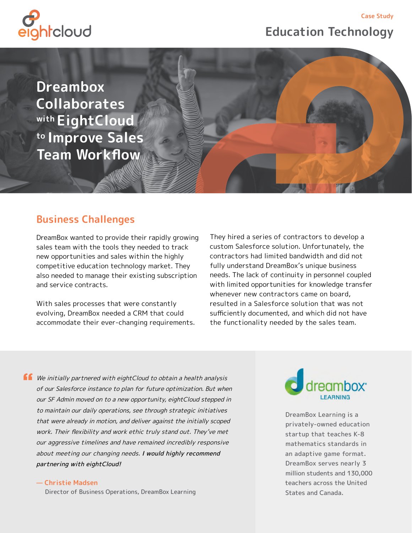**Education Technology**

**Case Study**



**Dreambox Collaborates with EightCloud to Improve Sales Team Workflow**

## **Business Challenges**

DreamBox wanted to provide their rapidly growing sales team with the tools they needed to track new opportunities and sales within the highly competitive education technology market. They also needed to manage their existing subscription and service contracts.

With sales processes that were constantly evolving, DreamBox needed a CRM that could accommodate their ever-changing requirements. They hired a series of contractors to develop a custom Salesforce solution. Unfortunately, the contractors had limited bandwidth and did not fully understand DreamBox's unique business needs. The lack of continuity in personnel coupled with limited opportunities for knowledge transfer whenever new contractors came on board, resulted in a Salesforce solution that was not sufficiently documented, and which did not have the functionality needed by the sales team.

 $\blacksquare$  We initially partnered with eightCloud to obtain a health analysis of our Salesforce instance to plan for future optimization. But when our SF Admin moved on to a new opportunity, eightCloud stepped in to maintain our daily operations, see through strategic initiatives that were already in motion, and deliver against the initially scoped work. Their flexibility and work ethic truly stand out. They've met our aggressive timelines and have remained incredibly responsive about meeting our changing needs. I would highly recommend partnering with eightCloud!

**— Christie Madsen**

Director of Business Operations, DreamBox Learning



DreamBox Learning is a privately-owned education startup that teaches K-8 mathematics standards in an adaptive game format. DreamBox serves nearly 3 million students and 130,000 teachers across the United States and Canada.